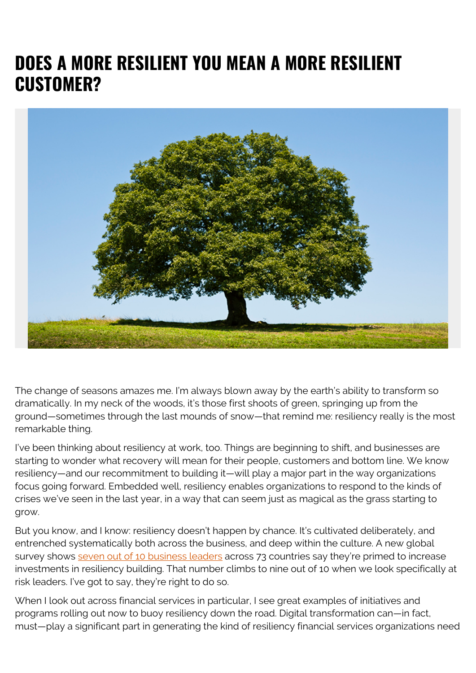## **DOES A MORE RESILIENT YOU MEAN A MORE RESILIENT CUSTOMER?**



The change of seasons amazes me. I'm always blown away by the earth's ability to transform so dramatically. In my neck of the woods, it's those first shoots of green, springing up from the ground—sometimes through the last mounds of snow—that remind me: resiliency really is the most remarkable thing.

I've been thinking about resiliency at work, too. Things are beginning to shift, and businesses are starting to wonder what recovery will mean for their people, customers and bottom line. We know resiliency—and our recommitment to building it—will play a major part in the way organizations focus going forward. Embedded well, resiliency enables organizations to respond to the kinds of crises we've seen in the last year, in a way that can seem just as magical as the grass starting to grow.

But you know, and I know: resiliency doesn't happen by chance. It's cultivated deliberately, and entrenched systematically both across the business, and deep within the culture. A new global survey shows [seven out of 10 business leaders](https://www.pwc.com/crisis-resilience) across 73 countries say they're primed to increase investments in resiliency building. That number climbs to nine out of 10 when we look specifically at risk leaders. I've got to say, they're right to do so.

When I look out across financial services in particular, I see great examples of initiatives and programs rolling out now to buoy resiliency down the road. Digital transformation can—in fact, must—play a significant part in generating the kind of resiliency financial services organizations need